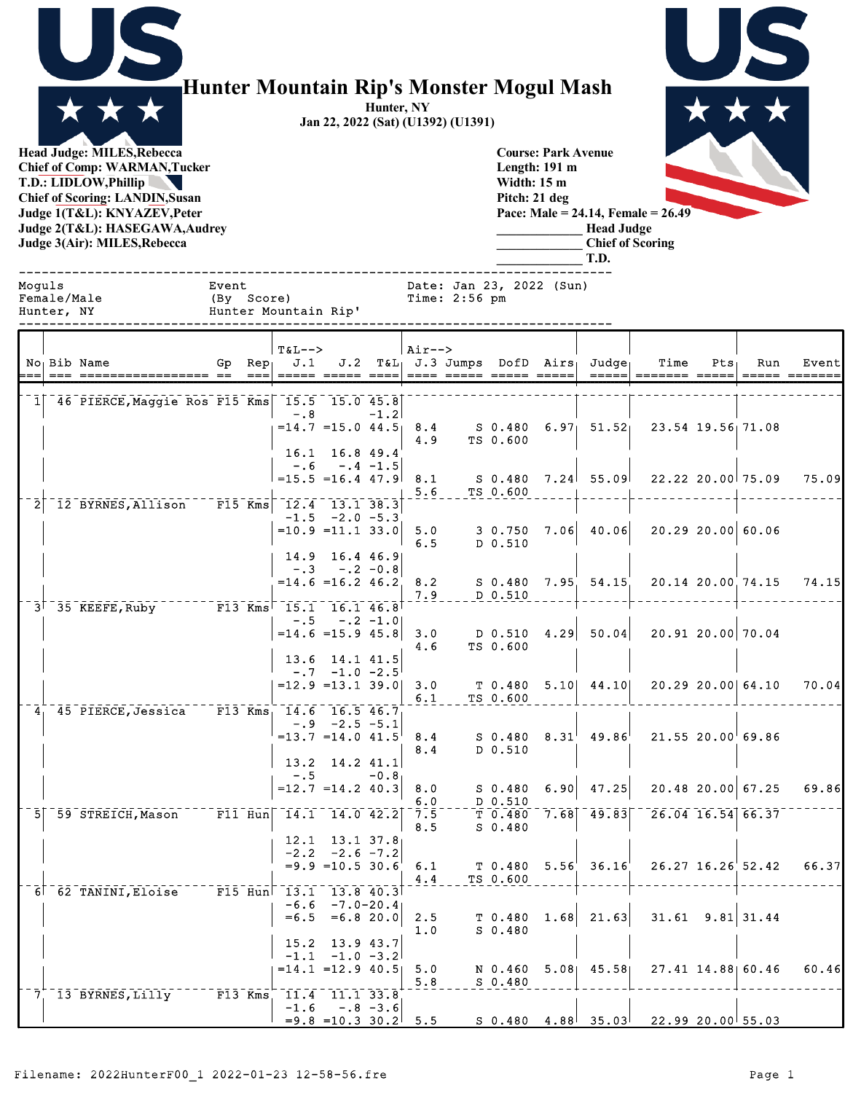

## **Hunter Mountain Rip's Monster Mogul Mash**

**Hunter, NY Jan 22, 2022 (Sat) (U1392) (U1391)**

> **Course: Park Avenue Length: 191 m Width: 15 m Pitch: 21 deg**

> > **\_\_\_\_\_\_\_\_\_\_\_\_\_ Head Judge \_\_\_\_\_\_\_\_\_\_\_\_\_ Chief of Scoring**

**Head Judge: MILES,Rebecca Chief of Comp: WARMAN,Tucker T.D.: LIDLOW,Phillip Chief of Scoring: LANDIN,Susan Judge 1(T&L): KNYAZEV,Peter Judge 2(T&L): HASEGAWA,Audrey Judge 3(Air): MILES,Rebecca** 

**Pace: Male = 24.14, Female = 26.49**

|                                  |                           |                                                 |       |                                        |                                                       |               |                |               |                        |                          | T.D.                                                                                             |                                                                                                                                                   |                      |                       |       |
|----------------------------------|---------------------------|-------------------------------------------------|-------|----------------------------------------|-------------------------------------------------------|---------------|----------------|---------------|------------------------|--------------------------|--------------------------------------------------------------------------------------------------|---------------------------------------------------------------------------------------------------------------------------------------------------|----------------------|-----------------------|-------|
| Moquls                           | Female/Male<br>Hunter, NY | Hunter Mountain Rip'                            | Event | (By Score)                             |                                                       |               |                | Time: 2:56 pm |                        | Date: Jan 23, 2022 (Sun) |                                                                                                  |                                                                                                                                                   |                      |                       |       |
|                                  |                           | No <sub>1</sub> Bib Name                        |       | <b>T&amp;L--&gt;</b>                   |                                                       |               | $\vert$ Air--> |               |                        |                          | Gp Rep <sub>1</sub> J.1 J.2 T&L <sub>1</sub> J.3 Jumps DofD Airs <sub>1</sub> Judge <sub>1</sub> | Time                                                                                                                                              | Pts                  | Run                   | Event |
|                                  |                           | 1 46 PIERCE, Maggie Ros F15 Kms 15.5 15.0 45.8  |       |                                        |                                                       |               |                |               |                        |                          |                                                                                                  |                                                                                                                                                   |                      |                       |       |
|                                  |                           |                                                 |       | $-0.8$                                 |                                                       | $-1.2$        | 4.9            |               | TS 0.600               |                          |                                                                                                  | $=$ 14.7 =15.0 44.5 8.4 S 0.480 6.97 51.52 23.54 19.56 71.08                                                                                      |                      |                       |       |
|                                  |                           |                                                 |       |                                        | 16.1 16.8 49.4<br>$-.6 - .4 - 1.5$                    |               |                |               |                        |                          |                                                                                                  |                                                                                                                                                   |                      |                       |       |
|                                  |                           | $-12$ BYRNES, Allison F15 Kms $-12.4$ 13.1 38.3 |       | $= 15.5 = 16.4$ 47.9 8.1               |                                                       |               | 5.6            |               | TS 0.600               |                          |                                                                                                  | S 0.480 7.24 55.09 22.22 20.00 75.09                                                                                                              |                      |                       | 75.09 |
|                                  |                           |                                                 |       | $=10.9$ = 11.1 33.0 5.0                | $-1.5 -2.0 -5.3$                                      |               | 6.5            |               | D 0.510                |                          |                                                                                                  | $3\;\;0.750\quad 7.06$ $40.06$ 20.29 20.00 60.06                                                                                                  |                      |                       |       |
|                                  |                           |                                                 |       |                                        | 14.9 16.4 46.9<br>$-.3 - .2 - 0.8$                    |               |                |               |                        |                          |                                                                                                  |                                                                                                                                                   |                      |                       |       |
|                                  |                           |                                                 |       |                                        | $= 14.6$ = 16.2 46.2 8.2                              |               | 7.9            |               | $D_0.510$              |                          |                                                                                                  | S 0.480 7.95 54.15 20.14 20.00 74.15 74.15                                                                                                        |                      |                       |       |
|                                  |                           | 3 35 KEEFE, Ruby F13 Kms 15.1 16.1 46.8         |       |                                        | $-.5 - .2 - 1.0$                                      |               |                |               |                        |                          |                                                                                                  |                                                                                                                                                   |                      |                       |       |
|                                  |                           |                                                 |       | $= 14.6 = 15.9 45.8$                   |                                                       |               | 3.0<br>4.6     |               | TS 0.600               |                          |                                                                                                  | $\vert$ D 0.510 4.29 50.04 20.91 20.00 70.04                                                                                                      |                      |                       |       |
|                                  |                           |                                                 |       |                                        | $13.6$ 14.1 41.5<br>$-0.7 -1.0 -2.5$                  |               |                |               |                        |                          |                                                                                                  |                                                                                                                                                   |                      |                       |       |
|                                  |                           | 4 45 PIERCE, Jessica F13 Kms 14.6 16.5 46.7     |       | $=12.9$ =13.1 39.0 3.0                 |                                                       |               | 6.1            |               | TS 0.600               |                          | $T$ 0.480 5.10 44.10                                                                             |                                                                                                                                                   |                      | 20.29 20.00 64.10     | 70.04 |
|                                  |                           |                                                 |       | $=13.7$ $=14.0$ $41.5$ 8.4             | $-.9$ $-2.5$ $-5.1$                                   |               | 8.4            |               | D 0.510                |                          |                                                                                                  | $S$ 0.480 $8.31^{\dagger}$ 49.86 $^{\dagger}$ 21.55 20.00 $^{\dagger}$ 69.86                                                                      |                      |                       |       |
|                                  |                           |                                                 |       | $-1.5$                                 | $13.2$ 14.2 41.1                                      | $-0.8$        |                |               |                        |                          |                                                                                                  |                                                                                                                                                   |                      |                       |       |
|                                  |                           |                                                 |       | $=12.7$ =14.2 40.3                     |                                                       |               | 8.0<br>6.0     |               | $D_0.510$              |                          | $S$ 0.480 6.90 47.25                                                                             |                                                                                                                                                   |                      | $20.48$ 20.00 67.25   | 69.86 |
|                                  |                           | 5 59 STREICH, Mason F11 Hun                     |       | $-14.1 - 14.0 - 42.2$                  |                                                       |               | 8.5            |               | $S_0.480$              |                          |                                                                                                  | $7.\overline{5}$ $7.\overline{6}$ $7.\overline{68}$ $7.\overline{68}$ $49.\overline{83}$ $26.\overline{04}$ $16.\overline{54}$ $66.\overline{37}$ |                      |                       |       |
|                                  |                           |                                                 |       |                                        | $12.1$ 13.1 37.8<br>$-2.2$ $-2.6$ $-7.2$              |               |                |               |                        |                          | $T$ 0.480 5.56 36.16                                                                             |                                                                                                                                                   |                      | $26.27$ $16.26$ 52.42 | 66.37 |
|                                  |                           | $6^- 62$ TANINI, Eloise $F15$ Hun               |       | 13.1                                   | $= 9.9$ = 10.5 30.6 6.1<br>$13.8$ $40.3$              |               | $4\,.4$        |               | TS 0.600               |                          |                                                                                                  |                                                                                                                                                   |                      |                       |       |
|                                  |                           |                                                 |       | $-6.6$<br>$= 6.5$                      | $=6.8$ 20.0                                           | $-7.0 - 20.4$ | 2.5<br>1.0     |               | $T$ 0.480<br>$S$ 0.480 |                          | $1.68$ 21.63                                                                                     |                                                                                                                                                   | $31.61$ $9.81$ 31.44 |                       |       |
|                                  |                           |                                                 |       | 15.2<br>$-1.1$<br>$= 14.1$ = 12.9 40.5 | 13.9 43.7                                             | $-1.0 -3.2$   | 5.0            |               | N 0.460                |                          | $5.08$ 45.58                                                                                     |                                                                                                                                                   |                      | 27.41 14.88 60.46     | 60.46 |
| $7_{\scriptscriptstyle{\wedge}}$ |                           | 13 BYRNES, Lilly F13 Kms                        |       |                                        | $\overline{11.4}$ $\overline{11.1}$ $\overline{33.8}$ |               | 5.8            |               | $S$ 0.480              |                          |                                                                                                  |                                                                                                                                                   |                      |                       |       |
|                                  |                           |                                                 |       | $-1.6$                                 | $= 9.8$ = 10.3 30.2 5.5                               | $-.8 - 3.6$   |                |               |                        |                          | $S$ 0.480 4.88 35.03                                                                             | 22.99 20.00 55.03                                                                                                                                 |                      |                       |       |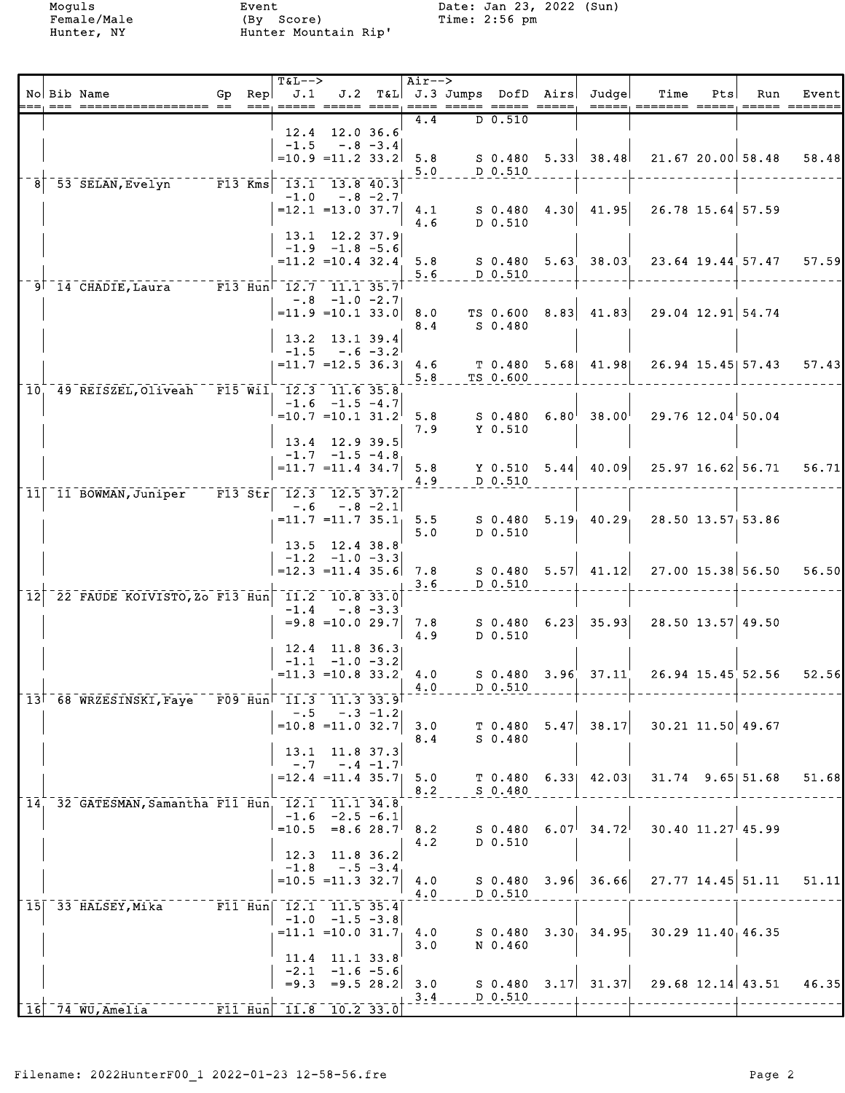|    | No Bib Name                                                            |  | <b>T&amp;L--&gt;</b><br>Gp Rep $\vert$ J.1 |                                                                                        |             | Air-->       |                              | J.2 T&L J.3 Jumps DofD Airs Judge      | Time                               | Pts | Run                   | Event |
|----|------------------------------------------------------------------------|--|--------------------------------------------|----------------------------------------------------------------------------------------|-------------|--------------|------------------------------|----------------------------------------|------------------------------------|-----|-----------------------|-------|
|    |                                                                        |  |                                            | ===, ===== ===== ====                                                                  |             | $---$<br>4.4 | ===== ===== =====<br>D 0.510 |                                        | =====, ======= =====, ===== ====== |     |                       |       |
|    |                                                                        |  |                                            | 12.4 12.0 36.6<br>$-1.5 - .8 - 3.4$                                                    |             |              |                              |                                        |                                    |     |                       |       |
|    |                                                                        |  |                                            | $=10.9$ $=11.2$ 33.2                                                                   |             | 5.8          |                              | $S$ 0.480 5.33 38.48                   |                                    |     | 21.67 20.00 58.48     | 58.48 |
|    | 53 SELAN, Evelyn F13 Kms 13.1 13.8 40.3                                |  |                                            |                                                                                        |             | 5.0          | D 0.510                      |                                        |                                    |     |                       |       |
|    |                                                                        |  |                                            | $-1.0 - .8 - 2.7$                                                                      |             |              |                              |                                        |                                    |     |                       |       |
|    |                                                                        |  |                                            | $=12.1$ = 13.0 37.7                                                                    |             | 4.1<br>4.6   | S 0.480<br>D 0.510           | $4.30$ $41.95$                         |                                    |     | 26.78 15.64 57.59     |       |
|    |                                                                        |  |                                            | 13.1 12.2 37.9<br>$-1.9$ $-1.8$ $-5.6$                                                 |             |              |                              |                                        |                                    |     |                       |       |
|    |                                                                        |  |                                            | $=11.2$ $=10.4$ 32.4                                                                   |             | 5.8          |                              | $S$ 0.480 5.63 38.03                   |                                    |     | 23.64 19.44 57.47     | 57.59 |
|    | 9 14 CHADIE, Laura F13 Hun 12.7 11.1 35.7                              |  |                                            |                                                                                        |             | 5.6          | D 0.510                      |                                        |                                    |     |                       |       |
|    |                                                                        |  |                                            | $-.8$ $-1.0$ $-2.7$                                                                    |             |              |                              |                                        |                                    |     | 29.04 12.91 54.74     |       |
|    |                                                                        |  |                                            | $= 11.9 = 10.1 33.0$                                                                   |             | 8.0<br>8.4   | TS 0.600<br>S 0.480          | $8.83$ 41.83                           |                                    |     |                       |       |
|    |                                                                        |  | $-1.5$                                     | 13.2 13.1 39.4<br>$-.6 - 3.2$                                                          |             |              |                              |                                        |                                    |     |                       |       |
|    |                                                                        |  |                                            | $=11.7$ $=12.5$ 36.3                                                                   |             | 4.6          |                              | T 0.480 5.68 41.98                     |                                    |     | 26.94 15.45 57.43     | 57.43 |
|    | 10, 49 REISZEL, Oliveah F15 Wil, 12.3 11.6 35.8                        |  |                                            |                                                                                        |             | 5.8          | TS 0.600                     |                                        |                                    |     |                       |       |
|    |                                                                        |  |                                            | $-1.6$ $-1.5$ $-4.7$<br>$=10.7$ =10.1 31.2                                             |             | 5.8          | S 0.480                      | $6.80^{+}$ 38.00                       |                                    |     | $29.76$ 12.04 50.04   |       |
|    |                                                                        |  |                                            |                                                                                        |             | 7.9          | Y 0.510                      |                                        |                                    |     |                       |       |
|    |                                                                        |  |                                            | 13.4 12.9 39.5<br>$-1.7 -1.5 -4.8$                                                     |             |              |                              |                                        |                                    |     |                       |       |
|    |                                                                        |  |                                            | $=11.7$ $=11.4$ 34.7                                                                   |             | 5.8<br>4.9   | D 0.510                      | $Y$ 0.510 5.44 40.09                   |                                    |     | $25.97$ 16.62 56.71   | 56.71 |
| 11 | 11 BOWMAN, Juniper                                                     |  |                                            | $\overline{F13}$ $\overline{51}$ $\overline{12.3}$ $\overline{12.5}$ $\overline{37.2}$ |             |              |                              |                                        |                                    |     |                       |       |
|    |                                                                        |  |                                            | $-.6 - .8 - 2.1$<br>$= 11.7$ = 11.7 35.1                                               |             | 5.5          | S 0.480                      | $5.19 - 40.29$                         |                                    |     | 28.50 13.57 53.86     |       |
|    |                                                                        |  |                                            |                                                                                        |             | 5.0          | D 0.510                      |                                        |                                    |     |                       |       |
|    |                                                                        |  |                                            | 13.5 12.4 38.8<br>$-1.2 -1.0 -3.3$                                                     |             |              |                              |                                        |                                    |     |                       |       |
|    |                                                                        |  |                                            | $=12.3$ = 11.4 35.6                                                                    |             | 7.8<br>3.6   | D 0.510                      | $S$ 0.480 5.57 41.12                   |                                    |     | 27.00 15.38 56.50     | 56.50 |
| 12 | 22 FAUDE KOIVISTO, Zo F13 Hun 11.2 10.8 33.0                           |  |                                            |                                                                                        |             |              |                              |                                        |                                    |     |                       |       |
|    |                                                                        |  | $-1.4$                                     | $-.8 - 3.3$<br>$=9.8$ = 10.0 29.7                                                      |             | 7.8          |                              | $S$ 0.480 6.23 35.93                   |                                    |     | 28.50 13.57 49.50     |       |
|    |                                                                        |  |                                            | $12.4$ 11.8 36.3                                                                       |             | 4.9          | D 0.510                      |                                        |                                    |     |                       |       |
|    |                                                                        |  |                                            | $-1.1$ $-1.0$ $-3.2$                                                                   |             |              |                              |                                        |                                    |     |                       |       |
|    |                                                                        |  |                                            | $=11.3$ =10.8 33.2                                                                     |             | 4.0<br>4.0   | $S$ 0.480<br>D 0.510         | $3.96'$ $37.11'$                       |                                    |     | 26.94 15.45 52.56     | 52.56 |
|    | 13 68 WRZESINSKI, Faye F09 Hun 11.3                                    |  |                                            | 11.3 33.9                                                                              | $-.3 - 1.2$ |              |                              |                                        |                                    |     |                       |       |
|    |                                                                        |  | $- 0.5$                                    | $=10.8$ = 11.0 32.7                                                                    |             | 3.0          | T <sub>0.480</sub>           | $5.47$ 38.17                           |                                    |     | $30.21$ 11.50 49.67   |       |
|    |                                                                        |  | 13.1                                       | 11.8 37.3                                                                              |             | 8.4          | $S$ 0.480                    |                                        |                                    |     |                       |       |
|    |                                                                        |  | $- 0.7$                                    |                                                                                        | $-.4 -1.7$  |              |                              |                                        |                                    |     |                       |       |
|    |                                                                        |  |                                            | $= 12.4$ = 11.4 35.7                                                                   |             | 5.0<br>8.2   | T 0.480<br>$S$ 0.480         | $6.33$   $42.03$                       |                                    |     | $31.74$ 9.65 51.68    | 51.68 |
|    | 14, 32 GATESMAN, Samantha F11 Hun, 12.1 11.1 34.8                      |  |                                            | $-1.6$ $-2.5$ $-6.1$                                                                   |             |              |                              |                                        |                                    |     |                       |       |
|    |                                                                        |  | $=10.5$                                    | $=8.628.7$                                                                             |             | 8.2          | S 0.480                      | $6.07$ <sup>1</sup> 34.72 <sup>1</sup> |                                    |     | $30.40$ $11.27$ 45.99 |       |
|    |                                                                        |  |                                            | 12.3 11.8 36.2                                                                         |             | 4.2          | D 0.510                      |                                        |                                    |     |                       |       |
|    |                                                                        |  |                                            | $-1.8 - .5 - 3.4$<br>$=10.5$ = 11.3 32.7                                               |             |              |                              | $3.96$ $36.66$                         |                                    |     | $27.77$ 14.45 51.11   |       |
|    |                                                                        |  |                                            |                                                                                        |             | 4.0<br>4.0   | S 0.480<br>D 0.510           |                                        |                                    |     |                       | 51.11 |
|    | 15 33 HALSEY, Mika                                                     |  |                                            | F11 Hun 12.1 11.5 35.4<br>$-1.0$ $-1.5$ $-3.8$                                         |             |              |                              |                                        |                                    |     |                       |       |
|    |                                                                        |  |                                            | $= 11.1$ $= 10.0$ 31.7                                                                 |             | 4.0          | S <sub>0.480</sub>           | $3.30 - 34.95$                         |                                    |     | 30.29 11.40 46.35     |       |
|    |                                                                        |  | 11.4                                       | 11.1 33.8                                                                              |             | 3.0          | N 0.460                      |                                        |                                    |     |                       |       |
|    |                                                                        |  | $-2.1$                                     | $-1.6 - 5.6$<br>$= 9.3$ $= 9.5$ 28.2                                                   |             | 3.0          |                              | $S$ 0.480 3.17 31.37                   |                                    |     | $29.68$ 12.14 43.51   | 46.35 |
|    |                                                                        |  |                                            |                                                                                        |             | 3.4          | D 0.510                      |                                        |                                    |     |                       |       |
|    | $\lceil \,\overline{16} \rceil$ $\bar{74}$ $\bar{W}$ U, Amelia $^{-1}$ |  |                                            | $\sqrt{11}$ Hun $\sqrt{11.8}$ 10.2 33.0                                                |             |              |                              |                                        |                                    |     |                       |       |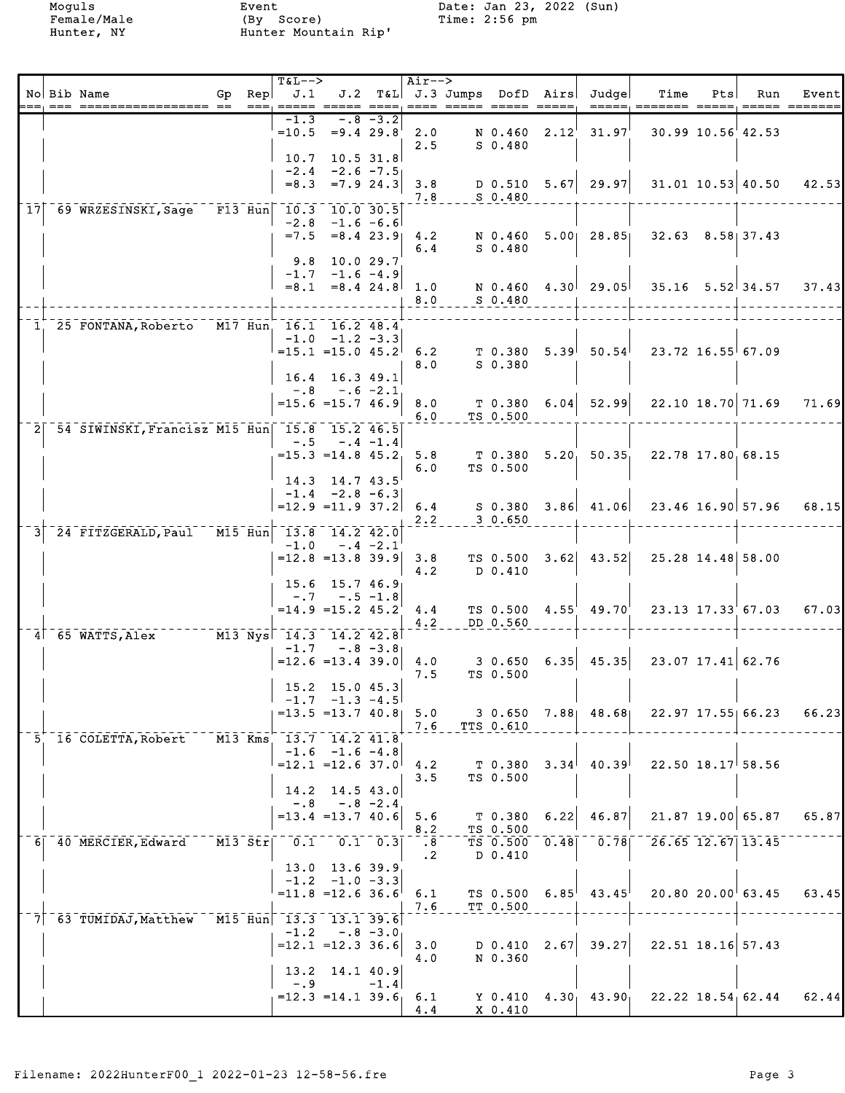|  |                                                                     |        | <b>T&amp;L--&gt;</b>          |                                                                  |               | $Air--$                                  |                        |                                 |      |                                   |                                                                                              |     |                         |       |
|--|---------------------------------------------------------------------|--------|-------------------------------|------------------------------------------------------------------|---------------|------------------------------------------|------------------------|---------------------------------|------|-----------------------------------|----------------------------------------------------------------------------------------------|-----|-------------------------|-------|
|  | No Bib Name<br>--- ----------------- -- --- ----                    | Gp Rep | J.1                           |                                                                  |               |                                          | ==== ===== ===== ===== |                                 |      | J.2 T&L J.3 Jumps DofD Airs Judge | Time<br>=====, ======= =====, ===== =======                                                  | Pts | Run                     | Event |
|  |                                                                     |        | $-1.3$                        | $=10.5$ =9.4 29.8                                                | $-.8 - 3.2$   | 2.0<br>2.5                               |                        | $S_0.480$                       |      | N 0.460 2.12 31.97                |                                                                                              |     | 30.99 10.56 42.53       |       |
|  |                                                                     |        | 10.7<br>$-2.4$<br>$= 8.3$     | $-2.6 -7.5$<br>$= 7.924.3$                                       | $10.5$ 31.8   | 3.8<br>7.8                               |                        | $S$ 0.480                       |      | $D$ 0.510 5.67 29.97              |                                                                                              |     | $31.01$ $10.53$ $40.50$ | 42.53 |
|  | 17 69 WRZESINSKI, Sage F13 Hun 10.3 10.0 30.5                       |        | $= 7.5$                       | $-2.8$ $-1.6$ $-6.6$<br>$= 8.4$ 23.9                             |               | 4.2<br>6.4                               |                        | $S_0.480$                       |      | N 0.460 5.00 28.85                |                                                                                              |     | $32.63$ $8.58$ 37.43    |       |
|  |                                                                     |        | 9.8                           | 10.0 29.7<br>$-1.7 -1.6 -4.9$<br>$= 8.1 = 8.4$ 24.8              |               | 1.0<br>8.0                               |                        | N 0.460<br>$S$ 0.480            |      | 4.30 29.05                        |                                                                                              |     | $35.16$ $5.52$ $34.57$  | 37.43 |
|  |                                                                     |        |                               |                                                                  |               |                                          |                        |                                 |      |                                   |                                                                                              |     |                         |       |
|  | 1, 25 FONTANA, Roberto M17 Hun, 16.1 16.2 48.4                      |        |                               | $-1.0$ $-1.2$ $-3.3$<br>$=15.1$ = 15.0 45.2                      |               | 6.2<br>8.0                               |                        | $S$ 0.380                       |      | $T$ 0.380 5.39 50.54              |                                                                                              |     | $23.72$ 16.55 67.09     |       |
|  |                                                                     |        | $-.8$                         | 16.4 16.3 49.1<br>$-.6 -2.1$<br>$= 15.6 = 15.746.9$              |               | 8.0<br>6.0                               |                        | T 0.380<br>TS 0.500             |      | $6.04$ 52.99                      |                                                                                              |     | $22.10$ 18.70 71.69     | 71.69 |
|  | 2 54 SIWINSKI, Francisz M15 Hun 15.8 15.2 46.5                      |        | $-.5$                         | $-.4 -1.4$<br>$= 15.3 = 14.845.2$                                |               | 5.8                                      |                        |                                 |      |                                   | $T$ 0.380 5.20 50.35 22.78 17.80 68.15                                                       |     |                         |       |
|  |                                                                     |        |                               | $14.3$ 14.7 43.5<br>$-1.4 -2.8 -6.3$<br>$=12.9$ = 11.9 37.2      |               | 6.0<br>6.4                               |                        | TS 0.500                        |      |                                   | $S$ 0.380 3.86 41.06 23.46 16.90 57.96                                                       |     |                         | 68.15 |
|  | 24 FITZGERALD, Paul M15 Hun                                         |        |                               | $-13.8$ 14.2 42.0<br>$-1.0 - .4 - 2.1$                           |               | 2.2                                      |                        | 3 0.650                         |      |                                   |                                                                                              |     |                         |       |
|  |                                                                     |        |                               | $=12.8$ = 13.8 39.9                                              |               | 3.8<br>4.2                               |                        | TS 0.500<br>D 0.410             |      | $3.62$ 43.52                      |                                                                                              |     | 25.28 14.48 58.00       |       |
|  |                                                                     |        |                               | 15.6 15.7 46.9<br>$-.7 - .5 - 1.8$<br>$=14.9$ $=15.2$ $45.2$     |               | 4.4<br>4.2                               |                        | DD 0.560                        |      | TS $0.500 \quad 4.55$ $49.70$     |                                                                                              |     | 23.13 17.33 67.03       | 67.03 |
|  | $4$ <sup>-65</sup> WATTS, Alex $113$ Nys <sup>-14.3</sup> 14.2 42.8 |        | $-1.7$                        | $=12.6$ = 13.4 39.0                                              | $-0.8$ $-3.8$ | 4.0                                      |                        | 3 0.650                         |      | $6.35$ 45.35                      |                                                                                              |     | 23.07 17.41 62.76       |       |
|  |                                                                     |        |                               | 15.2 15.0 45.3<br>$-1.7$ $-1.3$ $-4.5$                           |               | 7.5                                      |                        | TS 0.500                        |      |                                   |                                                                                              |     |                         |       |
|  | 5 16 COLETTA, Robert                                                |        | M13 Kms 13.7 14.2 41.8        | $= 13.5 = 13.7 40.8$ 5.0                                         |               |                                          | 7.6 TTS 0.610          |                                 |      |                                   | 3 0.650 7.88 48.68 22.97 17.55 66.23                                                         |     |                         | 66.23 |
|  |                                                                     |        | 14.2                          | $-1.6$ $-1.6$ $-4.8$<br>$=12.1$ = 12.6 37.0                      | 14.5 43.0     | 4.2<br>3.5                               |                        | T 0.380<br>TS 0.500             |      |                                   | $3.34$ <sup> </sup> 40.39 <sup> </sup> 22.50 18.17 <sup> </sup> 58.56                        |     |                         |       |
|  |                                                                     |        | $-.8$                         | $=13.4$ = 13.7 40.6                                              | $-.8 - 2.4$   | 5.6<br>8.2                               |                        | T 0.380                         | 6.22 | 46.87                             |                                                                                              |     | 21.87 19.00 65.87       | 65.87 |
|  | 6 40 MERCIER, Edward                                                |        | $M13 \text{ Str}$ 0.1 0.1 0.3 |                                                                  |               | $\overline{\phantom{0}}$ .8<br>$\cdot$ 2 |                        | TS 0.500<br>TS 0.500<br>D 0.410 |      |                                   | $\overline{0.48}$ <sup>-</sup> $\overline{0.78}$ <sup>-</sup> $\overline{26.65}$ 12.67 13.45 |     |                         |       |
|  |                                                                     |        |                               | $13.0$ $13.6$ $39.9$<br>$-1.2 -1.0 -3.3$<br>$= 11.8 = 12.6 36.6$ |               | 6.1<br>7.6                               |                        | TS 0.500<br>TT 0.500            |      | $6.85^{\dagger}$ 43.45            |                                                                                              |     | 20.8020.0063.45         | 63.45 |
|  | 7 63 TUMIDAJ, Matthew M15 Hun 13.3 13.1 39.6                        |        |                               | $-1.2 - .8 - 3.0$<br>$=12.1$ = 12.3 36.6                         |               | 3.0<br>4.0                               |                        | D 0.410<br>N 0.360              |      | $2.67$ 39.27                      |                                                                                              |     | $22.51$ 18.16 57.43     |       |
|  |                                                                     |        | $-0.9$                        | 13.2 14.1 40.9<br>$= 12.3 = 14.1 39.6$                           | $-1.4$        | 6.1<br>4.4                               |                        | X 0.410                         |      |                                   | Y 0.410 $4.30$ $43.90$ $22.22$ $18.54$ 62.44 62.44                                           |     |                         |       |
|  |                                                                     |        |                               |                                                                  |               |                                          |                        |                                 |      |                                   |                                                                                              |     |                         |       |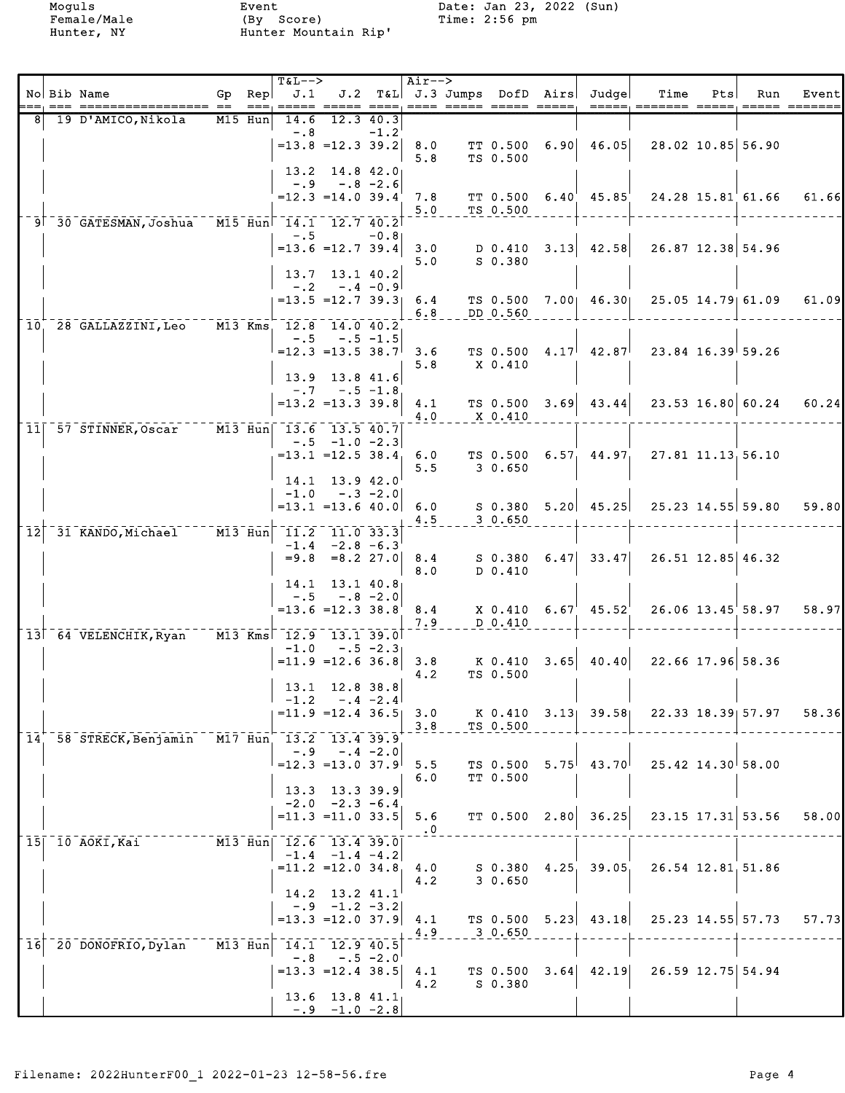|    |                                                |                                                                             | <b>T&amp;L--&gt;</b> |                                              |            | Air-->     |                      |                                   |                                                       |     |                     |       |
|----|------------------------------------------------|-----------------------------------------------------------------------------|----------------------|----------------------------------------------|------------|------------|----------------------|-----------------------------------|-------------------------------------------------------|-----|---------------------|-------|
|    | No Bib Name<br>================== ==<br>———    | Gp Rep $J.1$ $J.2$ T&L J.3 Jumps DofD Airs Judge                            |                      |                                              |            |            |                      |                                   | Time                                                  | Pts | Run                 | Event |
|    | 19 D'AMICO,Nikola                              | M15 Hun                                                                     |                      | 14.6 12.3 40.3                               |            |            |                      |                                   |                                                       |     |                     |       |
|    |                                                |                                                                             | $-.8$                | $-1.2$<br>$=13.8$ = 12.3 39.2                |            | 8.0        | TT 0.500             | 6.90 46.05                        |                                                       |     | 28.02 10.85 56.90   |       |
|    |                                                |                                                                             |                      |                                              |            | 5.8        | TS 0.500             |                                   |                                                       |     |                     |       |
|    |                                                |                                                                             | $-.9$                | $13.2$ 14.8 42.0<br>$-.8 - 2.6$              |            |            |                      |                                   |                                                       |     |                     |       |
|    |                                                |                                                                             |                      | $=12.3$ =14.0 39.4                           |            | 7.8        |                      |                                   | TT 0.500 6.40 45.85 24.28 15.81 61.66                 |     |                     | 61.66 |
|    | 9 30 GATESMAN, Joshua M15 Hun 14.1 12.7 40.2   |                                                                             |                      |                                              |            | 5.0        | TS 0.500             |                                   |                                                       |     |                     |       |
|    |                                                |                                                                             | $-1.5$               |                                              | $-0.81$    |            |                      |                                   |                                                       |     |                     |       |
|    |                                                |                                                                             |                      | $=13.6$ = 12.7 39.4                          |            | 5.0        | S 0.380              | 3.0 $D \t0.410 \t3.13 \t42.58$    |                                                       |     | 26.87 12.38 54.96   |       |
|    |                                                |                                                                             |                      | 13.7 13.1 40.2                               |            |            |                      |                                   |                                                       |     |                     |       |
|    |                                                |                                                                             |                      | $-.2 - .4 - 0.9$<br>$= 13.5 = 12.7$ 39.3 6.4 |            |            |                      |                                   | TS 0.500 7.00 46.30 25.05 14.79 61.09                 |     |                     |       |
|    |                                                |                                                                             |                      |                                              |            | 6.8        | DD 0.560             |                                   |                                                       |     |                     | 61.09 |
|    | 10, 28 GALLAZZINI, Leo M13 Kms, 12.8 14.0 40.2 |                                                                             |                      |                                              |            |            |                      |                                   |                                                       |     |                     |       |
|    |                                                |                                                                             |                      | $-.5 - .5 - 1.5$<br>$=12.3$ = 13.5 38.7      |            | 3.6        |                      | $TS$ 0.500 $4.17^{\dagger}$ 42.87 |                                                       |     | $23.84$ 16.39 59.26 |       |
|    |                                                |                                                                             |                      |                                              |            | 5.8        | X 0.410              |                                   |                                                       |     |                     |       |
|    |                                                |                                                                             |                      | 13.9 13.8 41.6<br>$-.7 - .5 - 1.8$           |            |            |                      |                                   |                                                       |     |                     |       |
|    |                                                |                                                                             |                      | $=13.2$ $=13.3$ 39.8                         |            | 4.1        |                      | $TS$ 0.500 3.69 43.44             |                                                       |     | $23.53$ 16.80 60.24 | 60.24 |
|    | 11 57 STINNER, Oscar                           | $\overline{M13}$ $\overline{H}$ un $\overline{13.6}$ $\overline{13.5}$ 40.7 |                      |                                              |            | 4.0        | X 0.410              |                                   |                                                       |     |                     |       |
|    |                                                |                                                                             |                      | $-.5 -1.0 -2.3$                              |            |            |                      |                                   |                                                       |     |                     |       |
|    |                                                |                                                                             |                      | $= 13.1$ = 12.5 38.4                         |            | 6.0<br>5.5 | 3 0.650              |                                   | TS 0.500 $6.57$ , $44.97$ , $27.81$ $11.13$ , $56.10$ |     |                     |       |
|    |                                                |                                                                             |                      | 14.1 13.9 42.0                               |            |            |                      |                                   |                                                       |     |                     |       |
|    |                                                |                                                                             |                      | $-1.0 -3 -2.0$<br>$=13.1$ =13.6 40.0         |            | 6.0        |                      |                                   | $S$ 0.380 5.20 45.25 25.23 14.55 59.80 59.80          |     |                     |       |
|    |                                                |                                                                             |                      |                                              |            | 4.5        | 30.650               |                                   |                                                       |     |                     |       |
| 12 | 31 KANDO, Michael - - - M13 Hun 11.2 11.0 33.3 |                                                                             |                      | $-1.4 -2.8 -6.3$                             |            |            |                      |                                   |                                                       |     |                     |       |
|    |                                                |                                                                             |                      | $= 9.8$ $= 8.2$ 27.0                         |            | 8.4        |                      | $S$ 0.380 6.47 33.47              |                                                       |     | 26.51 12.85 46.32   |       |
|    |                                                |                                                                             |                      | 14.1 13.1 40.8                               |            | 8.0        | D 0.410              |                                   |                                                       |     |                     |       |
|    |                                                |                                                                             |                      | $-.5 - .8 - 2.0$                             |            |            |                      |                                   |                                                       |     |                     |       |
|    |                                                |                                                                             |                      | $=13.6$ $=12.3$ $38.8$                       |            | 8.4<br>7.9 | D 0.410              | $X$ 0.410 6.67 45.52              |                                                       |     | 26.06 13.45 58.97   | 58.97 |
|    | 13 64 VELENCHIK, Ryan M13 Kms 12.9 13.1 39.0   |                                                                             |                      |                                              |            |            |                      |                                   |                                                       |     |                     |       |
|    |                                                |                                                                             | $-1.0$               | $-.5 -2.3$<br>$=11.9$ =12.6 36.8             |            | 3.8        | K 0.410              | $3.65$ 40.40                      |                                                       |     | 22.66 17.96 58.36   |       |
|    |                                                |                                                                             |                      |                                              |            | 4.2        | TS 0.500             |                                   |                                                       |     |                     |       |
|    |                                                |                                                                             |                      | 13.1 12.8 38.8<br>$-1.2 - .4 - 2.4$          |            |            |                      |                                   |                                                       |     |                     |       |
|    |                                                |                                                                             |                      | $= 11.9$ = 12.4 36.5                         |            | 3.0        |                      |                                   | K 0.410 3.13 39.58 22.33 18.39 57.97                  |     |                     | 58.36 |
|    | 14 58 STRECK, Benjamin                         | $\overline{M17}$ Hun 13.2 13.4 39.9                                         |                      |                                              |            | 3.8        | TS 0.500             |                                   |                                                       |     |                     |       |
|    |                                                |                                                                             |                      | $-.9 - .4 - 2.0$                             |            |            |                      |                                   |                                                       |     |                     |       |
|    |                                                |                                                                             |                      | $=12.3$ = 13.0 37.9                          |            | 5.5<br>6.0 | TS 0.500<br>TT 0.500 | $5.75^{+}$ 43.70                  |                                                       |     | $25.42$ 14.30 58.00 |       |
|    |                                                |                                                                             | 13.3                 | 13.3 39.9                                    |            |            |                      |                                   |                                                       |     |                     |       |
|    |                                                |                                                                             |                      | $-2.0 -2.3 -6.4$<br>$= 11.3 = 11.0 33.5$     |            | $5.6$      |                      | $TT$ 0.500 2.80 36.25             |                                                       |     | 23.15 17.31 53.56   | 58.00 |
|    |                                                |                                                                             |                      |                                              |            | $\cdot$ 0  |                      |                                   |                                                       |     |                     |       |
|    | $15$ 10 AOKI, Kai                              | M13 Hun  12.6 13.4 39.0                                                     |                      | $-1.4$ $-1.4$ $-4.2$                         |            |            |                      |                                   |                                                       |     |                     |       |
|    |                                                |                                                                             |                      | $=11.2$ =12.0 34.8                           |            | 4.0        |                      | $S$ 0.380 4.25, 39.05             |                                                       |     | 26.54 12.81 51.86   |       |
|    |                                                |                                                                             |                      | 14.2 13.2 41.1                               |            | 4.2        | 30.650               |                                   |                                                       |     |                     |       |
|    |                                                |                                                                             |                      | $-.9 - 1.2 - 3.2$                            |            |            |                      |                                   |                                                       |     |                     |       |
|    |                                                |                                                                             |                      | $=13.3$ $=12.0$ 37.9                         |            | 4.1<br>4.9 | 3 0.650              | $TS$ 0.500 5.23 43.18             |                                                       |     | 25.23 14.55 57.73   | 57.73 |
| 16 | 20 DONOFRIO, Dylan                             | $\sqrt{M13 - Hun}$ 14.1 12.9 40.5                                           |                      |                                              |            |            |                      |                                   |                                                       |     |                     |       |
|    |                                                |                                                                             | $-0.8$               | $=13.3$ =12.4 38.5                           | $-.5 -2.0$ |            |                      | $TS$ 0.500 3.64 42.19             | 26.59 12.75 54.94                                     |     |                     |       |
|    |                                                |                                                                             |                      |                                              |            | 4.1<br>4.2 | S 0.380              |                                   |                                                       |     |                     |       |
|    |                                                |                                                                             |                      | $13.6$ $13.8$ $41.1$                         |            |            |                      |                                   |                                                       |     |                     |       |
|    |                                                |                                                                             |                      | $-0.9 -1.0 -2.8$                             |            |            |                      |                                   |                                                       |     |                     |       |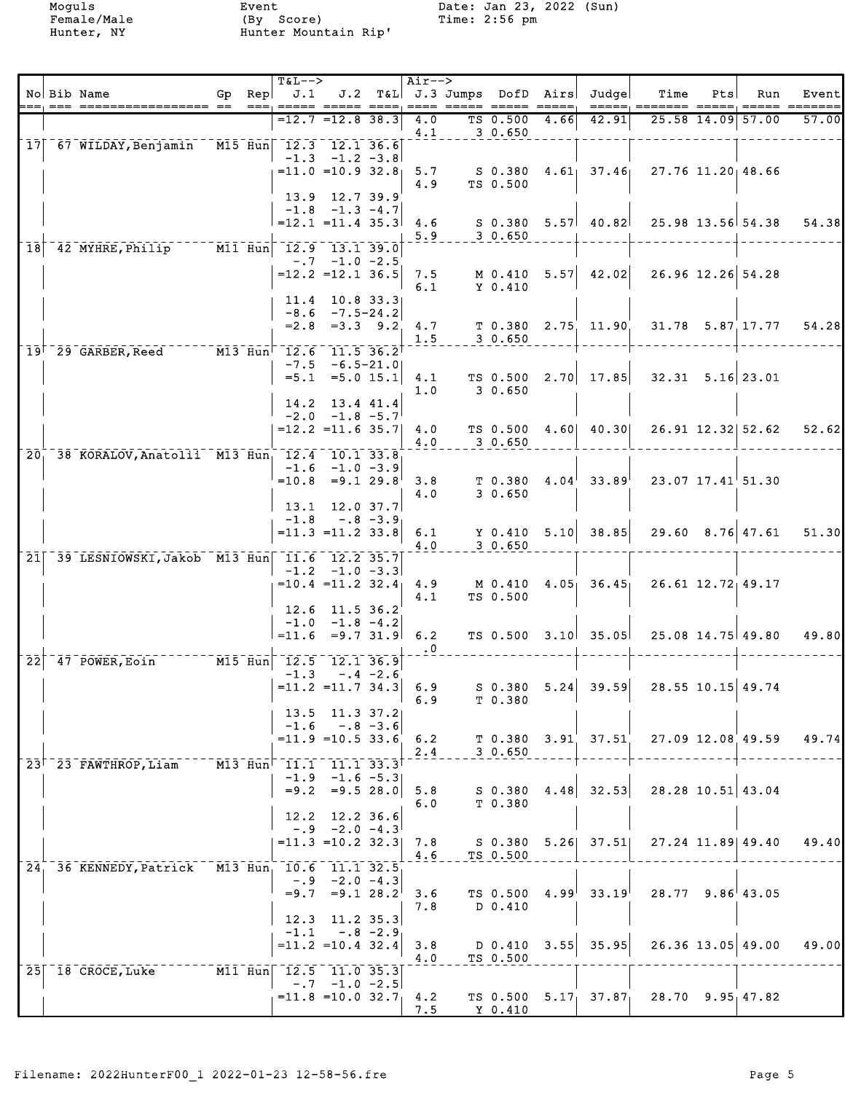|                            |                                                              |                                                   | <b>T&amp;L--&gt;</b> |                                              |              | $Air--$          |                    |      | J.2 T&L J.3 Jumps DofD Airs Judge |                                                        |                   |                      |               |
|----------------------------|--------------------------------------------------------------|---------------------------------------------------|----------------------|----------------------------------------------|--------------|------------------|--------------------|------|-----------------------------------|--------------------------------------------------------|-------------------|----------------------|---------------|
|                            | No Bib Name<br>=== ================= == === =====            | Gp Rep $\vert$ J.1                                |                      |                                              |              |                  |                    |      |                                   | Time<br>=====; ======= ===;                            | Pts               | Run                  | Event<br>==== |
|                            |                                                              |                                                   |                      | $=12.7$ $=12.8$ 38.3                         |              | 4.0<br>4.1       | TS 0.500<br>30.650 | 4.66 | 42.91                             |                                                        |                   | 25.58 14.09 57.00    | 57.00         |
|                            | 17 67 WILDAY, Benjamin                                       | M15 Hun 12.3 12.1 36.6                            |                      |                                              |              |                  |                    |      |                                   |                                                        |                   |                      |               |
|                            |                                                              |                                                   |                      | $-1.3 -1.2 -3.8$<br>$= 11.0 = 10.9 32.8$     |              | 5.7              | S 0.380            |      |                                   | $4.61$ $37.46$ $27.76$ $11.20$ $48.66$                 |                   |                      |               |
|                            |                                                              |                                                   |                      |                                              |              | 4.9              | TS 0.500           |      |                                   |                                                        |                   |                      |               |
|                            |                                                              |                                                   |                      | 13.9 12.7 39.9<br>$-1.8$ $-1.3$ $-4.7$       |              |                  |                    |      |                                   |                                                        |                   |                      |               |
|                            |                                                              |                                                   |                      | $=12.1$ = 11.4 35.3                          |              | 4.6              |                    |      | S 0.380 5.57 40.82                |                                                        |                   | 25.98 13.56 54.38    | 54.38         |
|                            |                                                              |                                                   |                      |                                              |              | 5.9              | $-30.650$          |      |                                   |                                                        |                   |                      |               |
| 18                         | 42 MYHRE, Philip M11 Hun 12.9 13.1 39.0                      |                                                   |                      | $-.7 -1.0 -2.5$                              |              |                  |                    |      |                                   |                                                        |                   |                      |               |
|                            |                                                              |                                                   |                      | $=12.2$ = 12.1 36.5                          |              | 7.5              | M 0.410            |      |                                   | $5.57$ 42.02 26.96 12.26 54.28                         |                   |                      |               |
|                            |                                                              |                                                   |                      | $11.4$ 10.8 33.3                             |              | 6.1              | Y 0.410            |      |                                   |                                                        |                   |                      |               |
|                            |                                                              |                                                   |                      | $-8.6 - 7.5 - 24.2$                          |              |                  |                    |      |                                   |                                                        |                   |                      |               |
|                            |                                                              |                                                   | $= 2.8$              | $=3.3$ 9.2                                   |              | 4.7<br>1.5       | 30.650             |      | $T$ 0.380 2.75 11.90              |                                                        |                   | 31.78 5.87 17.77     | 54.28         |
|                            | $19^{1}$ 29 GARBER, Reed M13 Hun <sup>1</sup> 12.6 11.5 36.2 |                                                   |                      |                                              |              |                  |                    |      |                                   |                                                        |                   |                      |               |
|                            |                                                              |                                                   |                      | $-7.5 -6.5 - 21.0$<br>$=5.1$ $=5.0$ 15.1     |              | 4.1              | TS 0.500           |      |                                   | $2.70$ 17.85 32.31 5.16 23.01                          |                   |                      |               |
|                            |                                                              |                                                   |                      |                                              |              | 1.0              | 3 0.650            |      |                                   |                                                        |                   |                      |               |
|                            |                                                              |                                                   |                      | 14.2 13.4 41.4<br>$-2.0$ $-1.8$ $-5.7$       |              |                  |                    |      |                                   |                                                        |                   |                      |               |
|                            |                                                              |                                                   |                      | $=12.2$ = 11.6 35.7                          |              | 4.0              |                    |      |                                   | TS 0.500 4.60 40.30 26.91 12.32 52.62                  |                   |                      | 52.62         |
| 20 <sub>1</sub>            | 38 KORALOV, Anatolii M13 Hun, 12.4 10.1 33.8                 |                                                   |                      |                                              |              | 4.0              | 3 0.650            |      |                                   |                                                        |                   |                      |               |
|                            |                                                              |                                                   | $-1.6$               | $-1.0 -3.9$                                  |              |                  |                    |      |                                   |                                                        |                   |                      |               |
|                            |                                                              |                                                   | $=10.8$              | $=9.1$ 29.8                                  |              | 3.8<br>4.0       | 30.650             |      | $T$ 0.380 4.04 33.89              |                                                        |                   | 23.07 17.41 51.30    |               |
|                            |                                                              |                                                   |                      | $13.1$ $12.0$ $37.7$                         |              |                  |                    |      |                                   |                                                        |                   |                      |               |
|                            |                                                              |                                                   | $-1.8$               | $-.8 - 3.9$<br>$=11.3$ $=11.2$ 33.8          |              | 6.1              |                    |      | Y $0.410$ 5.10 38.85              |                                                        |                   | $29.60$ $8.76$ 47.61 | 51.30         |
|                            |                                                              |                                                   |                      |                                              |              | 4.0              | 30.650             |      |                                   |                                                        |                   |                      |               |
|                            | 21 39 LESNIOWSKI, Jakob M13 Hun 11.6 12.2 35.7               |                                                   |                      | $-1.2 -1.0 -3.3$                             |              |                  |                    |      |                                   |                                                        |                   |                      |               |
|                            |                                                              |                                                   |                      | $=10.4$ = 11.2 32.4                          |              | 4.9              | M 0.410            |      | $4.05 - 36.45$                    |                                                        | 26.61 12.72 49.17 |                      |               |
|                            |                                                              |                                                   | 12.6                 | 11.5 36.2                                    |              | 4.1              | TS 0.500           |      |                                   |                                                        |                   |                      |               |
|                            |                                                              |                                                   |                      | $-1.0 -1.8 -4.2$                             |              |                  |                    |      |                                   |                                                        |                   |                      |               |
|                            |                                                              |                                                   | $=11.6$              |                                              | $= 9.7$ 31.9 | 6.2<br>$\cdot$ 0 |                    |      | TS $0.500$ $3.10$ $35.05$         |                                                        |                   | 25.08 14.75 49.80    | 49.80         |
| $\overline{2}\overline{2}$ | 47 POWER, Eoin                                               | $\overline{M15}$ $\overline{Hun}$ 12.5 12.1 36.9  |                      |                                              |              |                  |                    |      |                                   |                                                        |                   |                      |               |
|                            |                                                              |                                                   | $-1.3$               | $= 11.2$ = 11.7 34.3 6.9                     | $-.4 -2.6$   |                  |                    |      |                                   | $S$ 0.380 5.24 39.59 28.55 10.15 49.74                 |                   |                      |               |
|                            |                                                              |                                                   |                      |                                              |              | $1\quad 6.9$     | T 0.380            |      |                                   |                                                        |                   |                      |               |
|                            |                                                              |                                                   | $-1.6$               | $13.5$ $11.3$ $37.2$<br>$-.8 - 3.6$          |              |                  |                    |      |                                   |                                                        |                   |                      |               |
|                            |                                                              |                                                   |                      | $= 11.9$ = 10.5 33.6 6.2                     |              |                  |                    |      |                                   | T 0.380 $3.91$ $37.51$ $27.09$ $12.08$ $49.59$ $49.74$ |                   |                      |               |
|                            | $23$ <sup>T</sup> $23$ <sup>T</sup> $FAWTHROP$ , Liam        | $M13$ Hun <sup><math>-11.1</math></sup> 11.1 33.3 |                      |                                              |              | 2.4              | 30.650             |      |                                   |                                                        |                   |                      |               |
|                            |                                                              |                                                   |                      | $-1.9$ $-1.6$ $-5.3$                         |              |                  |                    |      |                                   |                                                        |                   |                      |               |
|                            |                                                              |                                                   |                      | $=9.2 = 9.5 28.0$                            |              | 5.8<br>6.0       | S 0.380<br>T 0.380 |      |                                   | $4.48$ 32.53 28.28 10.51 43.04                         |                   |                      |               |
|                            |                                                              |                                                   |                      | 12.2 12.2 36.6                               |              |                  |                    |      |                                   |                                                        |                   |                      |               |
|                            |                                                              |                                                   |                      | $-0.9 -2.0 -4.3$<br>$= 11.3$ = 10.2 32.3     |              | 7.8              |                    |      |                                   | S 0.380 5.26 37.51 27.24 11.89 49.40                   |                   |                      | 49.40         |
|                            |                                                              |                                                   |                      |                                              |              | 4.6              | TS 0.500           |      |                                   |                                                        |                   |                      |               |
|                            | 24, 36 KENNEDY, Patrick M13 Hun, 10.6 11.1 32.5              |                                                   |                      | $-.9 -2.0 -4.3$                              |              |                  |                    |      |                                   |                                                        |                   |                      |               |
|                            |                                                              |                                                   |                      | $=9.7$ $=9.1$ $28.2$                         |              | 3.6              | TS 0.500           |      | $4.99^{\dagger}$ 33.19            |                                                        |                   | $28.77$ $9.86$ 43.05 |               |
|                            |                                                              |                                                   |                      | $12.3$ 11.2 35.3                             |              | 7.8              | D 0.410            |      |                                   |                                                        |                   |                      |               |
|                            |                                                              |                                                   |                      | $-1.1 - .8 - 2.9$                            |              |                  |                    |      |                                   |                                                        |                   |                      |               |
|                            |                                                              |                                                   |                      | $=11.2$ = 10.4 32.4                          |              | 3.8<br>4.0       | TS 0.500           |      | D 0.410 $3.55$ 35.95              |                                                        |                   | $26.36$ 13.05 49.00  | 49.00         |
| 25 <sup>1</sup>            |                                                              |                                                   |                      |                                              |              |                  |                    |      |                                   |                                                        |                   |                      |               |
|                            |                                                              |                                                   |                      | $-0.7 -1.0 -2.5$<br>$= 11.8 = 10.0 32.7$ 4.2 |              |                  |                    |      |                                   | TS 0.500 5.17 37.87 28.70 9.95 47.82                   |                   |                      |               |
|                            |                                                              |                                                   |                      |                                              |              | 7.5              | Y 0.410            |      |                                   |                                                        |                   |                      |               |
|                            |                                                              |                                                   |                      |                                              |              |                  |                    |      |                                   |                                                        |                   |                      |               |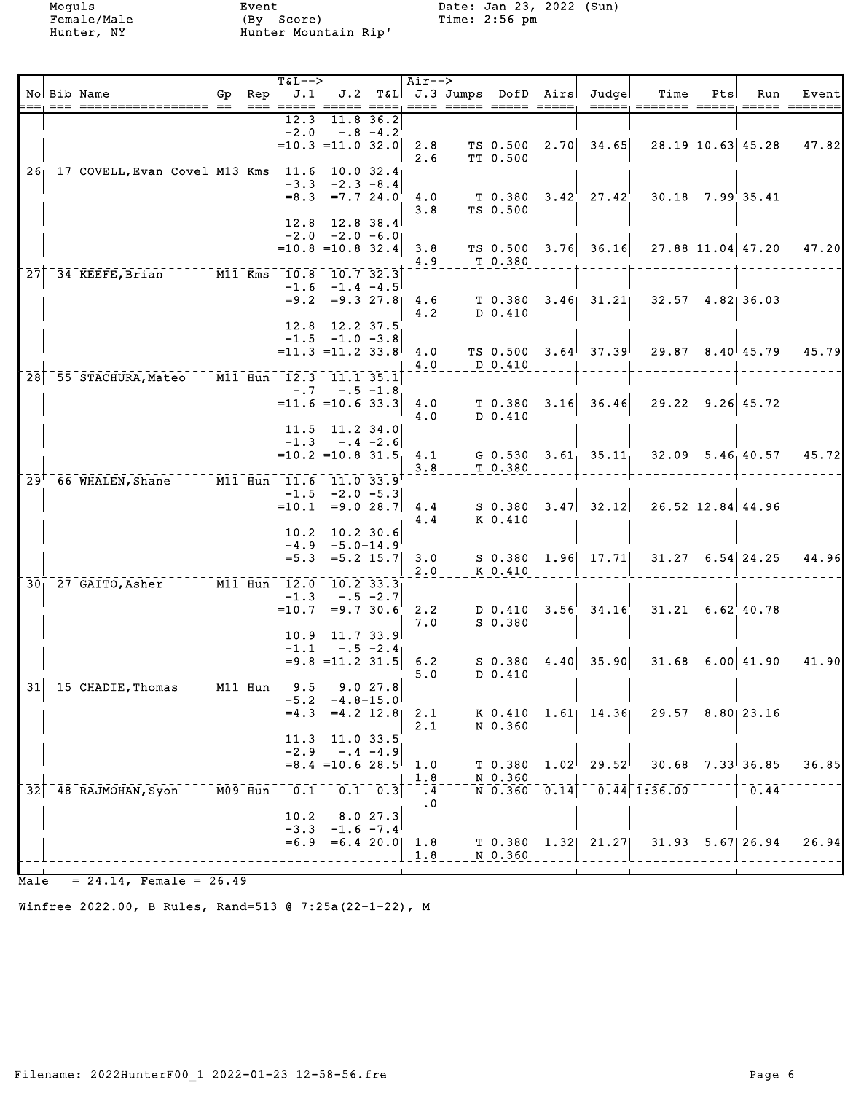Female/Male (By Score) Time: 2:56 pm Hunter, NY Hunter Mountain Rip'

Moguls Event Date: Jan 23, 2022 (Sun)<br>Female/Male (By Score) Time: 2:56 pm

|    |                                                                                                                                                         |    |                      | $T&L-->$                                                                                                                                                                                                                                                                                                                                                                       |                                         |                 | $Air--$               |                      |                                        |                                                     |     |                          |       |
|----|---------------------------------------------------------------------------------------------------------------------------------------------------------|----|----------------------|--------------------------------------------------------------------------------------------------------------------------------------------------------------------------------------------------------------------------------------------------------------------------------------------------------------------------------------------------------------------------------|-----------------------------------------|-----------------|-----------------------|----------------------|----------------------------------------|-----------------------------------------------------|-----|--------------------------|-------|
|    | No Bib Name                                                                                                                                             | Gp | Rep                  | J.1<br>===, ===== ===== ====, ==== ===== ===== =====,                                                                                                                                                                                                                                                                                                                          |                                         |                 |                       |                      | J.2 T&L J.3 Jumps DofD Airs Judge      | Time<br>=====, ======= =====, ===== ======          | Pts | Run                      | Event |
|    |                                                                                                                                                         |    |                      | 12.3                                                                                                                                                                                                                                                                                                                                                                           |                                         | 11.8 36.2       |                       |                      |                                        |                                                     |     |                          |       |
|    |                                                                                                                                                         |    |                      | $-2.0$                                                                                                                                                                                                                                                                                                                                                                         |                                         | $-.8 - 4.2$     |                       |                      |                                        |                                                     |     |                          |       |
|    |                                                                                                                                                         |    |                      |                                                                                                                                                                                                                                                                                                                                                                                | $=10.3 = 11.0 32.0$                     |                 | 2.8<br>2.6            | TS 0.500<br>TT 0.500 | $2.70$ 34.65                           |                                                     |     | $28.19$ 10.63 45.28      | 47.82 |
|    | 26 17 COVELL, Evan Covel M13 Kms 11.6                                                                                                                   |    |                      |                                                                                                                                                                                                                                                                                                                                                                                | 10.032.4                                |                 |                       |                      |                                        |                                                     |     |                          |       |
|    |                                                                                                                                                         |    |                      | $-3.3$                                                                                                                                                                                                                                                                                                                                                                         | $-2.3 - 8.4$                            |                 |                       |                      |                                        |                                                     |     |                          |       |
|    |                                                                                                                                                         |    |                      |                                                                                                                                                                                                                                                                                                                                                                                | $=8.3$ $=7.7$ 24.0                      |                 | 4.0<br>3.8            | TS 0.500             | $T$ 0.380 3.42 27.42                   |                                                     |     | $30.18$ $7.99$ 35.41     |       |
|    |                                                                                                                                                         |    |                      | 12.8                                                                                                                                                                                                                                                                                                                                                                           | 12.8 38.4                               |                 |                       |                      |                                        |                                                     |     |                          |       |
|    |                                                                                                                                                         |    |                      |                                                                                                                                                                                                                                                                                                                                                                                | $-2.0 -2.0 -6.0$                        |                 |                       |                      |                                        |                                                     |     |                          |       |
|    |                                                                                                                                                         |    |                      |                                                                                                                                                                                                                                                                                                                                                                                | $=10.8$ =10.8 32.4                      |                 | 3.8<br>4.9            | T 0.380              | TS $0.500$ 3.76 36.16                  |                                                     |     | $27.88$ 11.04 47.20      | 47.20 |
| 27 | 34 KEEFE, Brian                                                                                                                                         |    |                      | M11 Kms 10.8 10.7 32.3                                                                                                                                                                                                                                                                                                                                                         |                                         |                 |                       |                      |                                        |                                                     |     |                          |       |
|    |                                                                                                                                                         |    |                      |                                                                                                                                                                                                                                                                                                                                                                                | $-1.6$ $-1.4$ $-4.5$                    |                 |                       |                      |                                        |                                                     |     |                          |       |
|    |                                                                                                                                                         |    |                      |                                                                                                                                                                                                                                                                                                                                                                                | $= 9.2 = 9.327.8$                       |                 | 4.6<br>4.2            | T 0.380<br>D 0.410   | $3.46$ $31.21$                         |                                                     |     | $32.57$ $4.82$ 36.03     |       |
|    |                                                                                                                                                         |    |                      |                                                                                                                                                                                                                                                                                                                                                                                | 12.8 12.2 37.5                          |                 |                       |                      |                                        |                                                     |     |                          |       |
|    |                                                                                                                                                         |    |                      |                                                                                                                                                                                                                                                                                                                                                                                | $-1.5 -1.0 -3.8$                        |                 |                       |                      |                                        |                                                     |     |                          |       |
|    |                                                                                                                                                         |    |                      |                                                                                                                                                                                                                                                                                                                                                                                | $=11.3$ $=11.2$ 33.8                    |                 | 4.0<br>4.0            | TS 0.500<br>D 0.410  | $3.64$ <sup> </sup> 37.39 <sup> </sup> |                                                     |     | $29.87$ $8.40$ $45.79$   | 45.79 |
|    | 28 55 STACHURA, Mateo                                                                                                                                   |    |                      | $\overline{M11}$ Hun $\overline{12.3}$ $\overline{11.1}$ 35.1                                                                                                                                                                                                                                                                                                                  |                                         |                 |                       |                      |                                        |                                                     |     |                          |       |
|    |                                                                                                                                                         |    |                      | $- 0.7$                                                                                                                                                                                                                                                                                                                                                                        | $= 11.6 = 10.6$ 33.3                    | $-.5 - 1.8$     | 4.0                   | T0.380               | $3.16$ $36.46$                         |                                                     |     | $29.22$ $9.26$ 45.72     |       |
|    |                                                                                                                                                         |    |                      |                                                                                                                                                                                                                                                                                                                                                                                |                                         |                 | 4.0                   | D 0.410              |                                        |                                                     |     |                          |       |
|    |                                                                                                                                                         |    |                      |                                                                                                                                                                                                                                                                                                                                                                                | $11.5$ 11.2 34.0                        |                 |                       |                      |                                        |                                                     |     |                          |       |
|    |                                                                                                                                                         |    |                      | $-1.3$                                                                                                                                                                                                                                                                                                                                                                         | $-.4 -2.6$<br>$=10.2$ =10.8 31.5        |                 | 4.1                   |                      | $G$ 0.530 3.61 35.11                   |                                                     |     | $32.09$ $5.46$ , $40.57$ | 45.72 |
|    |                                                                                                                                                         |    |                      |                                                                                                                                                                                                                                                                                                                                                                                |                                         |                 | 3.8                   | T 0.380              |                                        |                                                     |     |                          |       |
|    | $297$ 66 WHALEN, Shane                                                                                                                                  |    |                      | M11 Hun 11.6 11.0 33.9                                                                                                                                                                                                                                                                                                                                                         |                                         |                 |                       |                      |                                        |                                                     |     |                          |       |
|    |                                                                                                                                                         |    |                      |                                                                                                                                                                                                                                                                                                                                                                                | $-1.5 -2.0 -5.3$<br>$=10.1$ $=9.0$ 28.7 |                 | 4.4                   | S 0.380              | $3.47$ $32.12$                         |                                                     |     | $26.52$ 12.84 44.96      |       |
|    |                                                                                                                                                         |    |                      |                                                                                                                                                                                                                                                                                                                                                                                |                                         |                 | 4.4                   | K 0.410              |                                        |                                                     |     |                          |       |
|    |                                                                                                                                                         |    |                      |                                                                                                                                                                                                                                                                                                                                                                                | 10.2 10.2 30.6<br>$-4.9 -5.0 - 14.9$    |                 |                       |                      |                                        |                                                     |     |                          |       |
|    |                                                                                                                                                         |    |                      |                                                                                                                                                                                                                                                                                                                                                                                | $=5.3$ $=5.2$ 15.7                      |                 | 3.0                   |                      | $S$ 0.380 1.96 17.71                   |                                                     |     | $31.27$ 6.54 24.25       | 44.96 |
|    |                                                                                                                                                         |    |                      |                                                                                                                                                                                                                                                                                                                                                                                |                                         |                 | 2.0                   | K 0.410              |                                        |                                                     |     |                          |       |
|    | 30 27 GAITO, Asher M11 Hun 12.0 10.2 33.3                                                                                                               |    |                      | $-1.3$                                                                                                                                                                                                                                                                                                                                                                         |                                         | $-.5 - 2.7$     |                       |                      |                                        |                                                     |     |                          |       |
|    |                                                                                                                                                         |    |                      |                                                                                                                                                                                                                                                                                                                                                                                | $=10.7$ $=9.7$ 30.6                     |                 | 2, 2                  | D 0.410              | $3.56'$ $34.16'$                       |                                                     |     | $31.21 \quad 6.62$ 40.78 |       |
|    |                                                                                                                                                         |    |                      |                                                                                                                                                                                                                                                                                                                                                                                |                                         |                 | 7.0                   | S 0.380              |                                        |                                                     |     |                          |       |
|    |                                                                                                                                                         |    |                      | 10.9<br>$-1.1$                                                                                                                                                                                                                                                                                                                                                                 | $11.7$ 33.9<br>$-.5 -2.4$               |                 |                       |                      |                                        |                                                     |     |                          |       |
|    |                                                                                                                                                         |    |                      |                                                                                                                                                                                                                                                                                                                                                                                | $= 9.8$ $= 11.2$ 31.5                   |                 | 6.2                   |                      | $S$ 0.380 4.40 35.90                   |                                                     |     | $31.68$ 6.00 41.90       | 41.90 |
|    | $\lceil 31 \rceil$ $\bar{15}$ $\bar{c}$ $\bar{H}$ $\bar{A}$ $\bar{D}$ $\bar{I}$ $\bar{E}$ , $\bar{T}$ $\bar{h}$ $\bar{o}$ $\bar{m}$ $\bar{a}$ $\bar{s}$ |    |                      | $\overline{M11}$ $\overline{H}$ un $\overline{m}$ $\overline{m}$ $\overline{g}$ , $\overline{g}$ $\overline{g}$ $\overline{g}$ $\overline{g}$ $\overline{g}$ $\overline{g}$ $\overline{g}$ $\overline{g}$ $\overline{g}$ $\overline{g}$ $\overline{g}$ $\overline{g}$ $\overline{g}$ $\overline{g}$ $\overline{g}$ $\overline{g}$ $\overline{g}$ $\overline{g}$ $\overline{g}$ |                                         | 9.027.8         | 5.0                   | $D_0.410$            |                                        |                                                     |     |                          |       |
|    |                                                                                                                                                         |    |                      |                                                                                                                                                                                                                                                                                                                                                                                | $-5.2 -4.8 - 15.0$                      |                 |                       |                      |                                        |                                                     |     |                          |       |
|    |                                                                                                                                                         |    |                      | $= 4.3$                                                                                                                                                                                                                                                                                                                                                                        |                                         | $=4.2$ 12.8     | 2.1                   | K 0.410              | $1.61$ $14.36$                         |                                                     |     | 29.57 8.80 23.16         |       |
|    |                                                                                                                                                         |    |                      | 11.3                                                                                                                                                                                                                                                                                                                                                                           |                                         | 11.0 33.5       | $2 \, . \, 1$         | N 0.360              |                                        |                                                     |     |                          |       |
|    |                                                                                                                                                         |    |                      | $-2.9$                                                                                                                                                                                                                                                                                                                                                                         |                                         | $-.4 - 4.9$     |                       |                      |                                        |                                                     |     |                          |       |
|    |                                                                                                                                                         |    |                      |                                                                                                                                                                                                                                                                                                                                                                                | $= 8.4$ = 10.6 28.5                     |                 | 1.0                   | T <sub>0.380</sub>   | $1.02^{+}$ 29.52                       |                                                     |     | $30.68$ $7.33$ 36.85     | 36.85 |
| 32 | 48 RAJMOHAN, Syon                                                                                                                                       |    | $\overline{MO9}$ Hun | $\frac{-1}{0.1}$                                                                                                                                                                                                                                                                                                                                                               |                                         | $0.1 \quad 0.3$ | 1.8<br>$\ddot{ }$ . 4 | N 0.360              |                                        | $\overline{N}$ 0.360 0.14 $\overline{0.14}$ 1.36.00 |     | 0.44                     |       |
|    |                                                                                                                                                         |    |                      |                                                                                                                                                                                                                                                                                                                                                                                |                                         |                 | . 0                   |                      |                                        |                                                     |     |                          |       |
|    |                                                                                                                                                         |    |                      | 10.2<br>$-3.3$                                                                                                                                                                                                                                                                                                                                                                 | $-1.6 -7.4$                             | 8.0 27.3        |                       |                      |                                        |                                                     |     |                          |       |
|    |                                                                                                                                                         |    |                      |                                                                                                                                                                                                                                                                                                                                                                                | $=6.9$ $=6.4$ 20.0 1.8                  |                 |                       |                      | $T$ 0.380 1.32 21.27                   |                                                     |     | $31.93$ $5.67$ 26.94     | 26.94 |
|    |                                                                                                                                                         |    |                      |                                                                                                                                                                                                                                                                                                                                                                                |                                         |                 | 1.8                   | N 0.360              |                                        |                                                     |     |                          |       |
|    |                                                                                                                                                         |    |                      |                                                                                                                                                                                                                                                                                                                                                                                |                                         |                 |                       |                      |                                        |                                                     |     |                          |       |

 $Male = 24.14$ , Female = 26.49

Winfree 2022.00, B Rules, Rand=513 @ 7:25a(22-1-22), M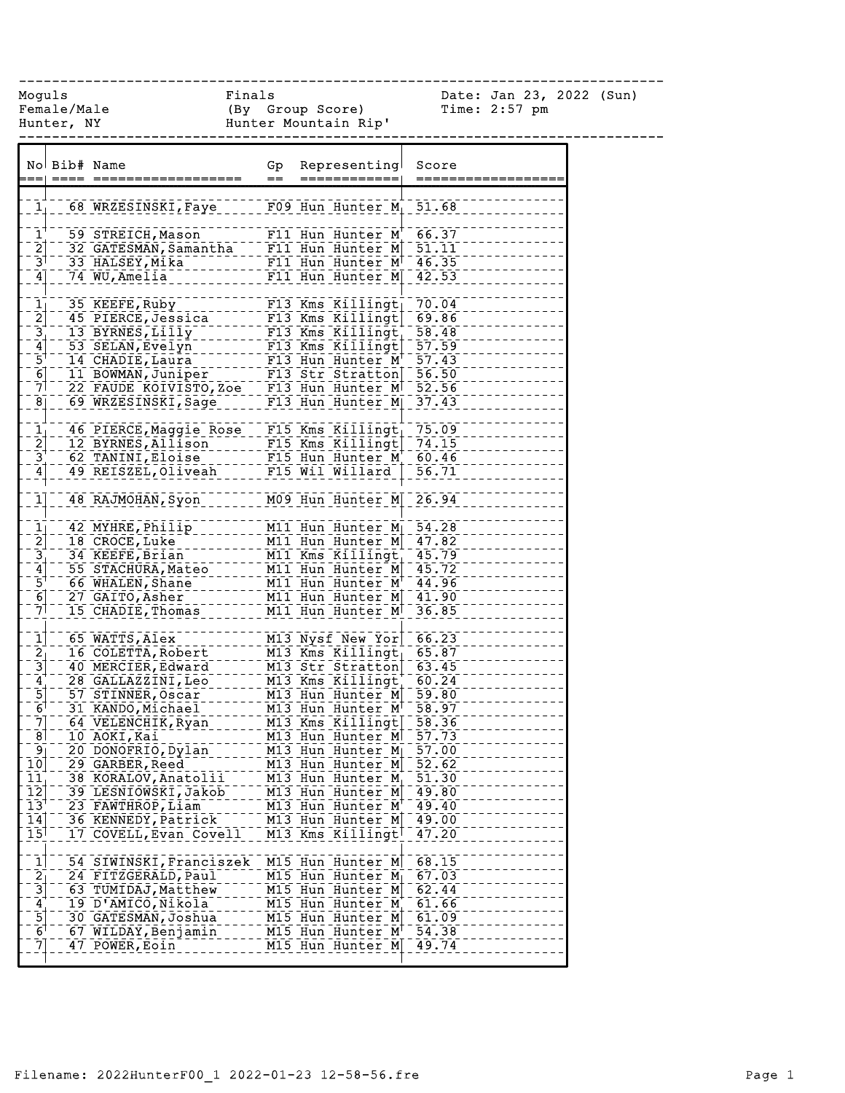------------------------------------------------------------------------------

Female/Male (By Group Score) Time: 2:57 pm Hunter, NY Hunter Mountain Rip'

Moguls Finals Date: Jan 23, 2022 (Sun)

|                                                                                          | No Bib# Name |                                                                                        | Gp<br>$=$ | Representing<br>=============                                                             | Score<br>===========       |
|------------------------------------------------------------------------------------------|--------------|----------------------------------------------------------------------------------------|-----------|-------------------------------------------------------------------------------------------|----------------------------|
| 1 <sub>1</sub>                                                                           |              | 68 WRZESINSKI, Faye F09 Hun Hunter M <sub>1</sub> 51.68                                |           |                                                                                           |                            |
| $\mathbf{1}^{\mathbf{+}}$<br>$\overline{2}$                                              |              | 59 STREICH, Mason<br>32 GATESMAN, Samantha                                             |           | $F11$ Hun Hunter M <sup>+</sup> 66.37<br>F11 Hun Hunter M 51.11<br>F11 Hun Hunter M 46.35 |                            |
| $\bar{3}^{\dagger}$<br>$\left[4\right]$                                                  |              | 33 HALSEY, Mika<br>74 WU, Amelia                                                       |           | F11 Hun Hunter M 42.53                                                                    |                            |
| $\bar{\mathbf{1}}_1$                                                                     |              | 35 KEEFE, Ruby<br>45 PIERCE, Jessica                                                   |           | $F13$ Kms Killingt<br>F13 Kms Killingt                                                    | 70.04<br>69.86             |
| $\begin{bmatrix} 2 \\ 3 \\ 4 \end{bmatrix}$<br>$\bar{5}^{\dagger}$                       |              | 13 BYRNES, Lilly<br>53 SELAN, Evelyn                                                   |           | F13 Kms Killingt<br>F13 Kms Killingt                                                      | $-58.48$<br>$-57.59$       |
| $\frac{6}{7}$                                                                            |              | 22 FAUDE KOIVISTO, Zoe F13 Hun Hunter M <sup>1</sup> 52.56                             |           |                                                                                           |                            |
| $\overline{8}$                                                                           |              | 69 WRZESINSKI, Sage<br>46 PIERCE, Maggie Rose F15 Kms Killingt                         |           | $F13$ Hun Hunter M                                                                        | 37.43<br>75.09             |
| $\frac{1}{2}$<br>$\frac{3}{4}$                                                           |              | 12 BYRNES, Allison<br>62 TANINI, Eloise                                                |           | $F15$ Kms $K1111$ ngt<br>F15 Hun Hunter M <sup>+</sup>                                    | 74.15<br>60.46             |
| $\mathbf{1}$                                                                             |              | 49 REISZEL, Oliveah<br>48 RAJMOHAN, Syon                                               |           | F15 Wil Willard<br>$\overline{M09}$ Hun Hunter $\overline{M}$ 26.94                       | 56.71                      |
| $\bar{1}$                                                                                |              | 42 MYHRE, Philip                                                                       |           | M11 Hun Hunter M 54.28                                                                    |                            |
| $\begin{bmatrix} 2 \\ 3 \\ 4 \end{bmatrix}$                                              |              | $18$ $C\bar{R}O\bar{C}E$ , Luke<br>34 KEEFE, Brian<br>55 STACHURA, Mateo               |           | M11 Hun Hunter M 47.82<br>M11 Kms Killingt 45.79<br>M11 Hun Hunter M 45.72                |                            |
| $\bar{5}^{\dagger}$<br>$\overline{6}$<br>71                                              |              | 66 WHALEN, Shane<br>27 GAITO, Asher<br>15 CHADIE, Thomas                               |           | M11 Hun Hunter M <sup>+</sup> 44.96<br>M11 Hun Hunter M 41.90<br>M11 Hun Hunter M 36.85   |                            |
| $\overline{1}$                                                                           |              | 65 WATTS, Alex                                                                         |           | M13 Nysf New Yor                                                                          | 66.23                      |
| $\begin{bmatrix} 2 \\ -3 \end{bmatrix}$                                                  |              | 16 COLETTA, Robert<br>40 MERCIER, Edward<br>28 GALLAZZINI, Leo                         |           | M13 Kms Killingt<br>M13 Str Stratton<br>$M13$ Kms Killingt                                | 65.87<br>63.45<br>$-60.24$ |
| $\frac{4}{5}$<br>$\frac{5}{6}$                                                           |              | 57 STINNER, Oscar<br>31 KANDO, Michael                                                 |           | M13 Hun Hunter M<br>$\overline{M13}$ Hun Hunter $\overline{M}$ <sup>+ -</sup> 58.97       | $-59.80$                   |
| $\frac{7}{8}$<br>۹۱                                                                      |              | 64 VELENCHIK, Ryan<br>10 AOKI, Kai<br>20 DONOFRIO, Dylan                               |           | M13 Kms Killingt<br>M13 Hun Hunter M<br>$M13$ Hun Hunter $M$                              | $-58.36$<br>57.73<br>57.00 |
| $\overline{10}$<br>$\overline{11}$                                                       |              | 29 GARBER, Reed<br>38 KORALOV, Anatolii                                                |           | M13 Hun Hunter M<br>M13 Hun Hunter M                                                      | 52.62<br>51.30             |
| $\overline{1}\overline{2}$<br>$\bar{1}3^{\dagger}$<br>$\overline{1}\overline{4}$         |              | 39 LESNIOWSKI, Jakob<br>23 FAWTHROP, Liam<br>36 KENNEDY, Patrick                       |           | M13 Hun Hunter M<br>M13 Hun Hunter M<br>M13 Hun Hunter M                                  | 49.80<br>49.40<br>49.00    |
| $15$ <sup><math>\overline{ }</math></sup>                                                |              | 17 COVELL, Evan Covell                                                                 |           | M13 Kms Killingt                                                                          | 47.20                      |
| $\left[ \begin{matrix} 1 \end{matrix} \right]$<br>$\begin{bmatrix} 2 \\ 3 \end{bmatrix}$ |              | 54 SIWINSKI, Franciszek M15 Hun Hunter M<br>24 FITZGERALD, Paul<br>63 TUMIDAJ, Matthew |           | $M15$ Hun Hunter M<br>M15 Hun Hunter M                                                    | 68.15<br>67.03<br>62.44    |
| 4<br>$\frac{5}{6}$                                                                       |              | 19 D'AMICO, Nikola<br>30 GATESMAN, Joshua                                              |           | M15 Hun Hunter M<br>M15 Hun Hunter M                                                      | 61.66<br>61.09             |
| 7]                                                                                       |              | 67 WILDAY, Benjamin<br>47 POWER, Eoin                                                  |           | M15 Hun Hunter M<br>M15 Hun Hunter M                                                      | 54.38<br>49.74             |